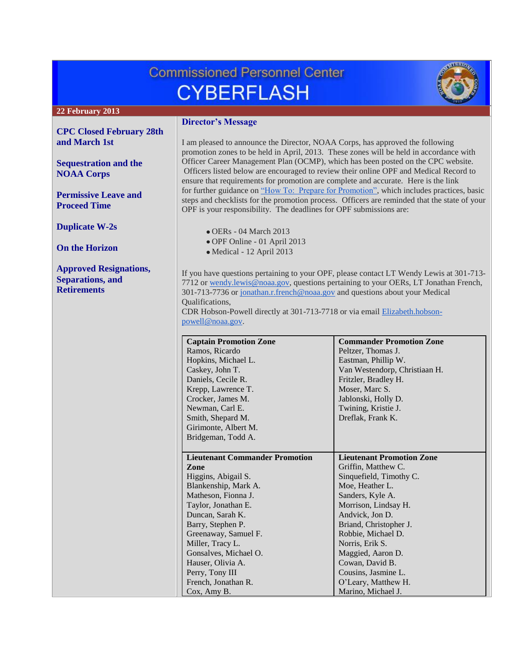# **Commissioned Personnel Center CYBERFLASH**



## **22 February 2013**

**[CPC Closed February 28th](#page-1-0)  [and March 1st](#page-1-0)**

**[Sequestration and the](#page-1-1)  [NOAA Corps](#page-1-1)**

**[Permissive Leave and](#page-1-2)  [Proceed Time](#page-1-2)**

**[Duplicate W-2s](#page-2-0)**

**[On the Horizon](#page-2-1)**

**[Approved Resignations,](#page-2-2)  [Separations, and](#page-2-2)  [Retirements](#page-2-2)**

# **Director's Message**

I am pleased to announce the Director, NOAA Corps, has approved the following promotion zones to be held in April, 2013. These zones will be held in accordance with Officer Career Management Plan (OCMP), which has been posted on the CPC website. Officers listed below are encouraged to review their online OPF and Medical Record to ensure that requirements for promotion are complete and accurate. Here is the link for further guidance on ["How To: Prepare for Promotion",](http://www.corpscpc.noaa.gov/procedures/pdf/prepare_for_promotions.pdf) which includes practices, basic steps and checklists for the promotion process. Officers are reminded that the state of your OPF is your responsibility. The deadlines for OPF submissions are:

- $\bullet$  OERs 04 March 2013
- OPF Online 01 April 2013
- Medical 12 April 2013

If you have questions pertaining to your OPF, please contact LT Wendy Lewis at 301-713- 7712 or [wendy.lewis@noaa.gov,](mailto:wendy.lewis@noaa.gov) questions pertaining to your OERs, LT Jonathan French, 301-713-7736 or [jonathan.r.french@noaa.gov](mailto:jonathan.r.french@noaa.gov) and questions about your Medical Qualifications,

CDR Hobson-Powell directly at 301-713-7718 or via email [Elizabeth.hobson](mailto:Elizabeth.hobson-powell@noaa.gov)[powell@noaa.gov.](mailto:Elizabeth.hobson-powell@noaa.gov)

| <b>Captain Promotion Zone</b>         | <b>Commander Promotion Zone</b>  |
|---------------------------------------|----------------------------------|
| Ramos, Ricardo                        | Peltzer, Thomas J.               |
| Hopkins, Michael L.                   | Eastman, Phillip W.              |
| Caskey, John T.                       | Van Westendorp, Christiaan H.    |
| Daniels, Cecile R.                    | Fritzler, Bradley H.             |
| Krepp, Lawrence T.                    | Moser, Marc S.                   |
| Crocker, James M.                     | Jablonski, Holly D.              |
| Newman, Carl E.                       | Twining, Kristie J.              |
| Smith, Shepard M.                     | Dreflak, Frank K.                |
| Girimonte, Albert M.                  |                                  |
| Bridgeman, Todd A.                    |                                  |
|                                       |                                  |
| <b>Lieutenant Commander Promotion</b> | <b>Lieutenant Promotion Zone</b> |
| Zone                                  | Griffin, Matthew C.              |
| Higgins, Abigail S.                   | Sinquefield, Timothy C.          |
| Blankenship, Mark A.                  | Moe, Heather L.                  |
| Matheson, Fionna J.                   | Sanders, Kyle A.                 |
| Taylor, Jonathan E.                   | Morrison, Lindsay H.             |
| Duncan, Sarah K.                      | Andvick, Jon D.                  |
| Barry, Stephen P.                     | Briand, Christopher J.           |
| Greenaway, Samuel F.                  | Robbie, Michael D.               |
| Miller, Tracy L.                      | Norris, Erik S.                  |
| Gonsalves, Michael O.                 | Maggied, Aaron D.                |
| Hauser, Olivia A.                     | Cowan, David B.                  |
| Perry, Tony III                       | Cousins, Jasmine L.              |
| French, Jonathan R.                   | O'Leary, Matthew H.              |
| Cox, Amy B.                           | Marino, Michael J.               |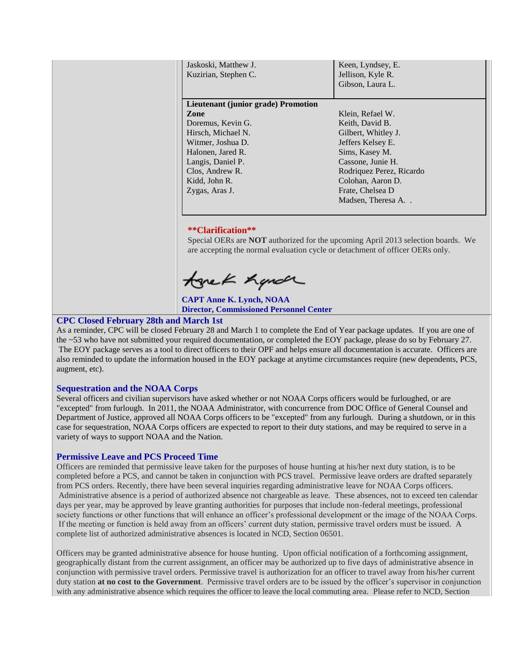| Jaskoski, Matthew J.<br>Kuzirian, Stephen C. | Keen, Lyndsey, E.<br>Jellison, Kyle R.<br>Gibson, Laura L. |  |  |  |
|----------------------------------------------|------------------------------------------------------------|--|--|--|
| Lieutenant (junior grade) Promotion          |                                                            |  |  |  |
| Zone                                         | Klein, Refael W.                                           |  |  |  |
| Doremus, Kevin G.                            | Keith, David B.                                            |  |  |  |
| Hirsch, Michael N.                           | Gilbert, Whitley J.                                        |  |  |  |
| Witmer, Joshua D.                            | Jeffers Kelsey E.                                          |  |  |  |
| Halonen, Jared R.                            | Sims, Kasey M.                                             |  |  |  |
| Langis, Daniel P.                            | Cassone, Junie H.                                          |  |  |  |
| Clos, Andrew R.                              | Rodriquez Perez, Ricardo                                   |  |  |  |
| Kidd, John R.                                | Colohan, Aaron D.                                          |  |  |  |
| Zygas, Aras J.                               | Frate, Chelsea D                                           |  |  |  |
|                                              | Madsen, Theresa A                                          |  |  |  |

## **\*\*Clarification\*\***

Special OERs are **NOT** authorized for the upcoming April 2013 selection boards. We are accepting the normal evaluation cycle or detachment of officer OERs only.

tonek handr

**CAPT Anne K. Lynch, NOAA Director, Commissioned Personnel Center**

# <span id="page-1-0"></span>**CPC Closed February 28th and March 1st**

As a reminder, CPC will be closed February 28 and March 1 to complete the End of Year package updates. If you are one of the ~53 who have not submitted your required documentation, or completed the EOY package, please do so by February 27. The EOY package serves as a tool to direct officers to their OPF and helps ensure all documentation is accurate. Officers are also reminded to update the information housed in the EOY package at anytime circumstances require (new dependents, PCS, augment, etc).

#### <span id="page-1-1"></span>**Sequestration and the NOAA Corps**

Several officers and civilian supervisors have asked whether or not NOAA Corps officers would be furloughed, or are "excepted" from furlough. In 2011, the NOAA Administrator, with concurrence from DOC Office of General Counsel and Department of Justice, approved all NOAA Corps officers to be "excepted" from any furlough. During a shutdown, or in this case for sequestration, NOAA Corps officers are expected to report to their duty stations, and may be required to serve in a variety of ways to support NOAA and the Nation.

## <span id="page-1-2"></span>**Permissive Leave and PCS Proceed Time**

Officers are reminded that permissive leave taken for the purposes of house hunting at his/her next duty station, is to be completed before a PCS, and cannot be taken in conjunction with PCS travel. Permissive leave orders are drafted separately from PCS orders. Recently, there have been several inquiries regarding administrative leave for NOAA Corps officers. Administrative absence is a period of authorized absence not chargeable as leave. These absences, not to exceed ten calendar days per year, may be approved by leave granting authorities for purposes that include non-federal meetings, professional society functions or other functions that will enhance an officer's professional development or the image of the NOAA Corps. If the meeting or function is held away from an officers' current duty station, permissive travel orders must be issued. A complete list of authorized administrative absences is located in NCD, Section 06501.

Officers may be granted administrative absence for house hunting. Upon official notification of a forthcoming assignment, geographically distant from the current assignment, an officer may be authorized up to five days of administrative absence in conjunction with permissive travel orders. Permissive travel is authorization for an officer to travel away from his/her current duty station **at no cost to the Government**. Permissive travel orders are to be issued by the officer's supervisor in conjunction with any administrative absence which requires the officer to leave the local commuting area. Please refer to NCD, Section